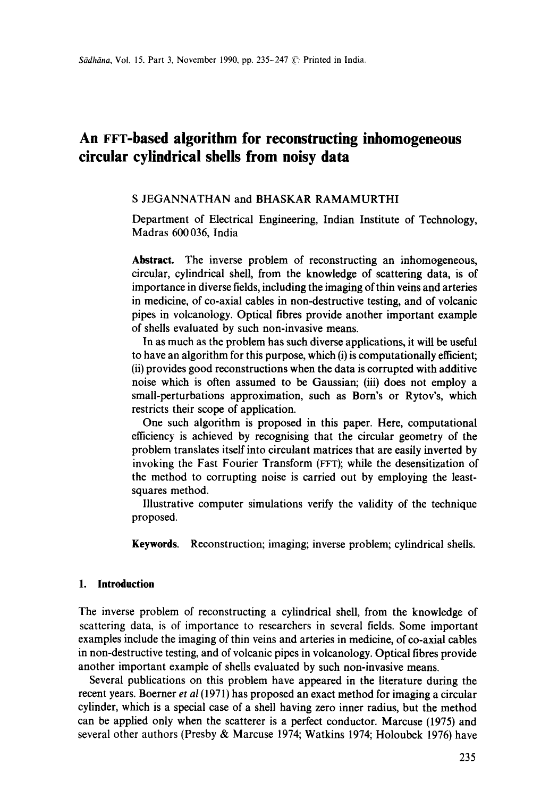# **An FFT-based algorithm for reconstructing inhomogeneous circular cylindrical shells from noisy data**

# S JEGANNATHAN and BHASKAR RAMAMURTHI

Department of Electrical Engineering, Indian Institute of Technology, Madras 600036, India

**Abstract.** The inverse problem of reconstructing an inhomogeneous, circular, cylindrical shell, from the knowledge of scattering data, is of importance in diverse fields, including the imaging of thin veins and arteries in medicine, of co-axial cables in non-destructive testing, and of volcanic pipes in volcanology. Optical fibres provide another important example of shells evaluated by such non-invasive means.

In as much as the problem has such diverse applications, it will be useful to have an algorithm for this purpose, which (i) is computationally efficient; (ii) provides good reconstructions when the data is corrupted with additive noise which is often assumed to be Gaussian; (iii) does not employ a small-perturbations approximation, such as Born's or Rytov's, which restricts their scope of application.

One such algorithm is proposed in this paper. Here, computational efficiency is achieved by recognising that the circular geometry of the problem translates itself into circulant matrices that are easily inverted by invoking the Fast Fourier Transform (FFT); while the desensitization of the method to corrupting noise is carried out by employing the leastsquares method.

Illustrative computer simulations verify the validity of the technique proposed.

**Keywords.** Reconstruction; imaging; inverse problem; cylindrical shells.

# **1. Introduction**

The inverse problem of reconstructing a cylindrical shell, from the knowledge of scattering data, is of importance to researchers in several fields. Some important examples include the imaging of thin veins and arteries in medicine, of co-axial cables in non-destructive testing, and of volcanic pipes in volcanology. Optical fibres provide another important example of shells evaluated by such non-invasive means.

Several publications on this problem have appeared in the literature during the recent years. Boerner *et al* (1971) has proposed an exact method for imaging a circular cylinder, which is a special case of a shell having zero inner radius, but the method can be applied only when the scatterer is a perfect conductor. Marcuse (1975) and several other authors (Presby & Marcuse 1974; Watkins 1974; Holoubek 1976) have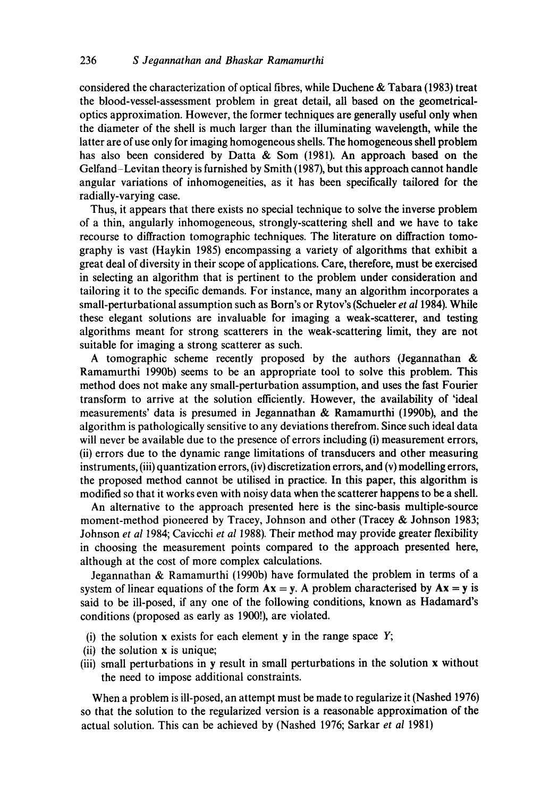considered the characterization of optical fibres, while Duchene & Tabara (1983) treat the blood-vessel-assessment problem in great detail, all based on the geometricaloptics approximation. However, the former techniques are generally useful only when the diameter of the shell is much larger than the illuminating wavelength, while the latter are of use only for imaging homogeneous shells. The homogeneous shell problem has also been considered by Datta & Som (1981). An approach based on the Gelfand-Levitan theory is furnished by Smith (1987), but this approach cannot handle angular variations of inhomogeneities, as it has been specifically tailored for the radially-varying case.

Thus, it appears that there exists no special technique to solve the inverse problem of a thin, angularly inhomogeneous, strongly-scattering shell and we have to take recourse to diffraction tomographic techniques. The literature on diffraction tomography is vast (Haykin 1985) encompassing a variety of algorithms that exhibit a great deal of diversity in their scope of applications. Care, therefore, must be exercised in selecting an algorithm that is pertinent to the problem under consideration and tailoring it to the specific demands. For instance, many an algorithm incorporates a small-perturbational assumption such as Born's or Rytov's (Schueler *et a11984).* While these elegant solutions are invaluable for imaging a weak-scatterer, and testing algorithms meant for strong scatterers in the weak-scattering limit, they are not suitable for imaging a strong scatterer as such.

A tomographic scheme recently proposed by the authors (Jegannathan  $\&$ Ramamurthi 1990b) seems to be an appropriate tool to solve this problem. This method does not make any small-perturbation assumption, and uses the fast Fourier transform to arrive at the solution efficiently. However, the availability of 'ideal measurements' data is presumed in Jegannathan & Ramamurthi (1990b), and the algorithm is pathologically sensitive to any deviations therefrom. Since such ideal data will never be available due to the presence of errors including (i) measurement errors, (ii) errors due to the dynamic range limitations of transducers and other measuring instruments, (iii) quantization errors, (iv) discretization errors, and (v) modelling errors, the proposed method cannot be utilised in practice. In this paper, this algorithm is modified so that it works even with noisy data when the scatterer happens to be a shell.

An alternative to the approach presented here is the sinc-basis multiple-source moment-method pioneered by Tracey, Johnson and other (Tracey & Johnson 1983; Johnson *et at* 1984; Cavicchi *et al* 1988). Their method may provide greater flexibility in choosing the measurement points compared to the approach presented here, although at the cost of more complex calculations.

Jegannathan & Ramamurthi (1990b) have formulated the problem in terms of a system of linear equations of the form  $Ax = y$ . A problem characterised by  $Ax = y$  is said to be ill-posed, if any one of the following conditions, known as Hadamard's conditions (proposed as early as 1900!), are violated.

- (i) the solution  $x$  exists for each element  $y$  in the range space  $Y$ ;
- (ii) the solution x is unique;
- (iii) small perturbations in y result in small perturbations in the solution x without the need to impose additional constraints.

When a problem is ill-posed, an attempt must be made to regularize it (Nashed 1976) so that the solution to the regularized version is a reasonable approximation of the actual solution. This can be achieved by (Nashed 1976; Sarkar *et al* 1981)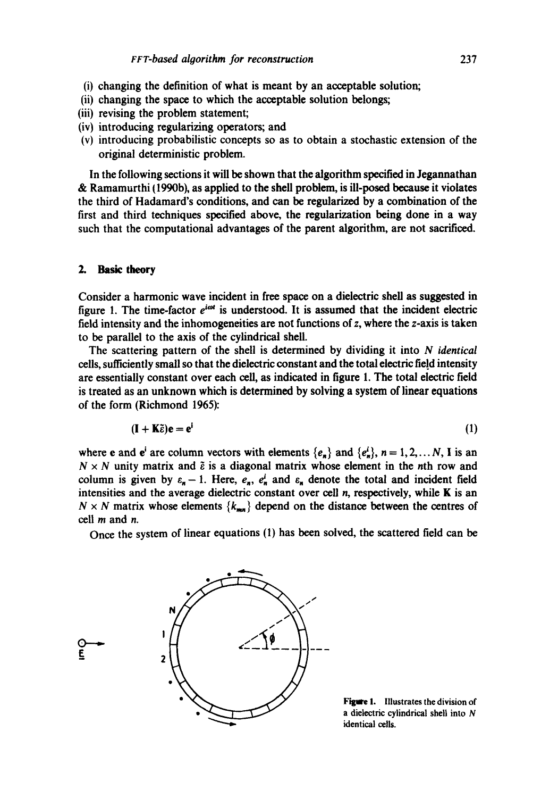- (i) changing the definition of what is meant by an acceptable solution;
- (ii) changing the space to which the acceptable solution belongs;
- (iii) revising the problem statement;
- (iv) introducing regularizing operators; and
- (v) introducing probabilistic concepts so as to obtain a stochastic extension of the original deterministic problem.

In the following sections it will be shown that the algorithm specified in Jegannathan & Ramamurthi (1990b), as applied to the shell problem, is ill-posed because it violates the third of Hadamard's conditions, and can be regularized by a combination of the first and third techniques specified above, the regularization being done in a way such that the computational advantages of the parent algorithm, are not sacrificed.

### 2. Basic theory

Consider a harmonic wave incident in free space on a dielectric shell as suggested in figure 1. The time-factor  $e^{i\omega t}$  is understood. It is assumed that the incident electric field intensity and the inhomogeneities are not functions of  $z$ , where the  $z$ -axis is taken to be parallel to the axis of the cylindrical shell.

The scattering pattern of the shell is determined by dividing it into *N identical*  cells, sufficiently small so that the dielectric constant and the total electric field intensity are essentially constant over each cell, as indicated in figure 1. The total electric field is treated as an unknown which is determined by solving a system of linear equations of the form (Richmond 1965):

$$
(\mathbf{I} + \mathbf{K}\tilde{\varepsilon})\mathbf{e} = \mathbf{e}^{\mathbf{i}} \tag{1}
$$

where e and e' are column vectors with elements  $\{e_n\}$  and  $\{e_n^i\}$ ,  $n = 1, 2, \ldots N$ , I is an  $N \times N$  unity matrix and  $\tilde{\epsilon}$  is a diagonal matrix whose element in the nth row and column is given by  $\varepsilon_n - 1$ . Here,  $e_n$ ,  $e_n^i$  and  $\varepsilon_n$  denote the total and incident field intensities and the average dielectric constant over cell  $n$ , respectively, while  $K$  is an  $N \times N$  matrix whose elements  $\{k_{mn}\}\$  depend on the distance between the centres of cell m and n.

Once the system of linear equations (1) has been solved, the scattered field can be



Figure 1. Illustrates the division of a dielectric cylindrical shell into N identical cells.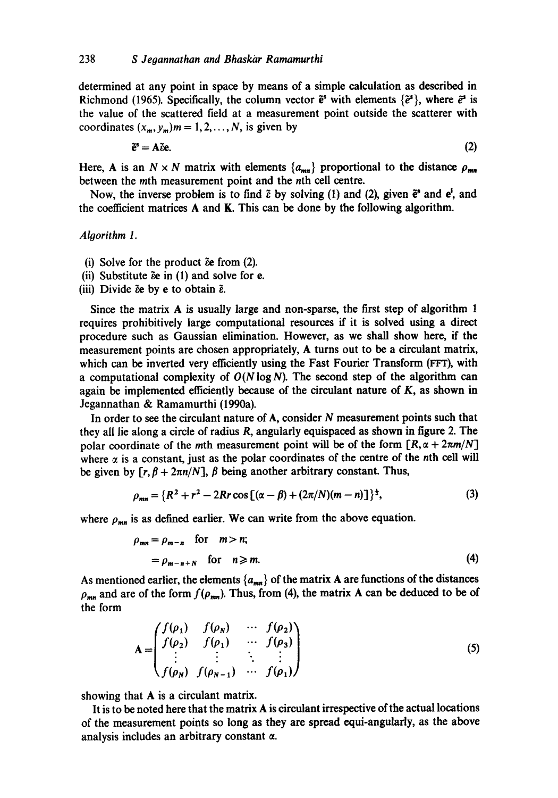determined at any point in space by means of a simple calculation as described in Richmond (1965). Specifically, the column vector  $\tilde{e}^*$  with elements  $\{\tilde{e}^*\}$ , where  $\tilde{e}^*$  is the value of the scattered field at a measurement point outside the scatterer with coordinates  $(x_m, y_m)$  $m = 1, 2, \ldots, N$ , is given by

$$
\tilde{\mathbf{e}}^s = \mathbf{A}\tilde{\mathbf{e}}\mathbf{e}.\tag{2}
$$

Here, A is an  $N \times N$  matrix with elements  $\{a_{mn}\}$  proportional to the distance  $\rho_{mn}$ between the mth measurement point and the nth cell centre.

Now, the inverse problem is to find  $\tilde{\epsilon}$  by solving (1) and (2), given  $\tilde{\epsilon}^*$  and  $e^i$ , and the coefficient matrices A and K. This can be done by the following algorithm.

### *Algorithm 1.*

- (i) Solve for the product  $\varepsilon$  from (2).
- (ii) Substitute  $\varepsilon$ e in (1) and solve for e.
- (iii) Divide  $\varepsilon$ e by e to obtain  $\varepsilon$ .

Since the matrix A is usually large and non-sparse, the first step of algorithm 1 requires prohibitively large computational resources if it is solved using a direct procedure such as Gaussian elimination. However, as we shall show here, if the measurement points are chosen appropriately, A turns out to be a circulant matrix, which can be inverted very efficiently using the Fast Fourier Transform (FFT), with a computational complexity of  $O(N \log N)$ . The second step of the algorithm can again be implemented efficiently because of the circulant nature of  $K$ , as shown in Jegannathan & Ramamurthi (1990a).

In order to see the circulant nature of  $A$ , consider  $N$  measurement points such that they all lie along a circle of radius R, angularly equispaced as shown in figure 2. The polar coordinate of the *m*th measurement point will be of the form  $[R, \alpha + 2\pi m/N]$ where  $\alpha$  is a constant, just as the polar coordinates of the centre of the nth cell will be given by  $[r, \beta + 2\pi n/N]$ ,  $\beta$  being another arbitrary constant. Thus,

$$
\rho_{mn} = \{R^2 + r^2 - 2Rr\cos\left[(\alpha - \beta) + (2\pi/N)(m - n)\right]\}^{\frac{1}{2}},\tag{3}
$$

where  $\rho_{mn}$  is as defined earlier. We can write from the above equation.

$$
\rho_{mn} = \rho_{m-n} \quad \text{for} \quad m > n; \n= \rho_{m-n+N} \quad \text{for} \quad n \ge m.
$$
\n(4)

As mentioned earlier, the elements  $\{a_{mn}\}$  of the matrix **A** are functions of the distances  $\rho_{mn}$  and are of the form  $f(\rho_{mn})$ . Thus, from (4), the matrix A can be deduced to be of the form

$$
\mathbf{A} = \begin{pmatrix} f(\rho_1) & f(\rho_N) & \cdots & f(\rho_2) \\ f(\rho_2) & f(\rho_1) & \cdots & f(\rho_3) \\ \vdots & \vdots & \ddots & \vdots \\ f(\rho_N) & f(\rho_{N-1}) & \cdots & f(\rho_1) \end{pmatrix}
$$
(5)

showing that A is a circulant matrix.

It is to be noted here that the matrix A is circulant irrespective of the actual locations of the measurement points so long as they are spread equi-angularly, as the above analysis includes an arbitrary constant  $\alpha$ .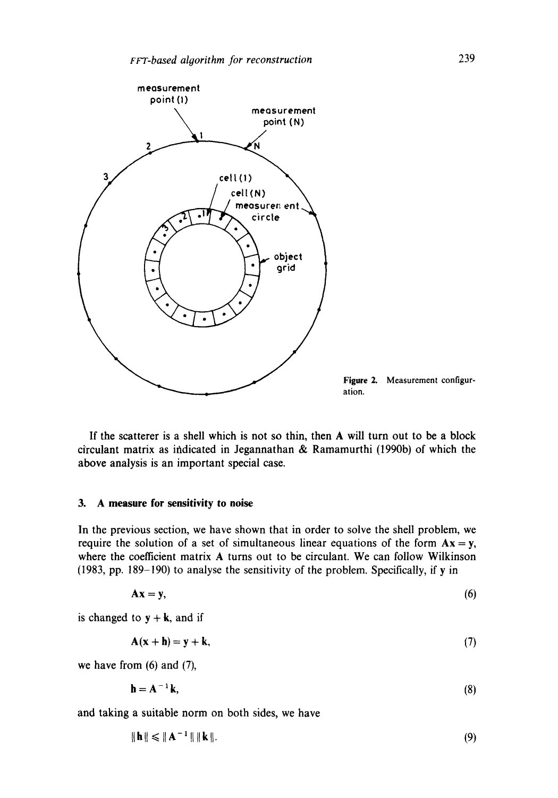

If the scatterer is a shell which is not so thin, then A will turn out to be a block circulant matrix as indicated in Jegannathan  $\&$  Ramamurthi (1990b) of which the above analysis is an important special case.

# **3. A measure for sensitivity to noise**

In the previous section, we have shown that in order to solve the shell problem, we require the solution of a set of simultaneous linear equations of the form  $Ax = y$ , where the coefficient matrix A turns out to be circulant. We can follow Wilkinson (1983, pp. 189-190) to analyse the sensitivity of the problem. Specifically, if y in

$$
Ax = y,\tag{6}
$$

is changed to  $y + k$ , and if

$$
A(x+h) = y + k,\tag{7}
$$

we have from (6) and (7),

$$
\mathbf{h} = \mathbf{A}^{-1} \mathbf{k},\tag{8}
$$

and taking a suitable norm on both sides, we have

$$
\|\mathbf{h}\| \le \|\mathbf{A}^{-1}\| \|\mathbf{k}\|.\tag{9}
$$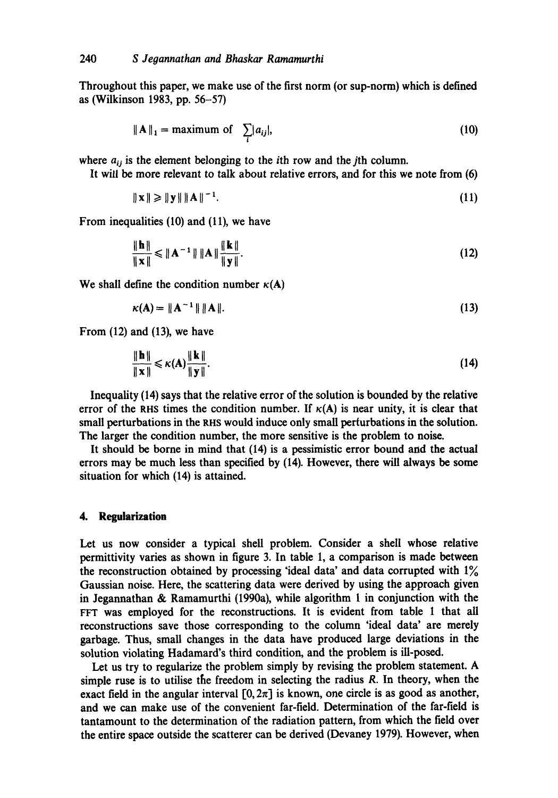Throughout this paper, we make use of the first norm (or sup-norm) which is defined as (Wilkinson 1983, pp. 56-57)

$$
\|\mathbf{A}\|_{1} = \text{maximum of } \sum_{i} |a_{ij}|, \tag{10}
$$

where  $a_{ij}$  is the element belonging to the *i*th row and the *j*th column.

It will be more relevant to talk about relative errors, and for this we note from (6)

$$
\|\mathbf{x}\| \ge \|\mathbf{y}\| \|\mathbf{A}\|^{-1}.\tag{11}
$$

From inequalities (10) and (11), we have

$$
\frac{\|\mathbf{h}\|}{\|\mathbf{x}\|} \le \|\mathbf{A}^{-1}\| \|\mathbf{A}\| \frac{\|\mathbf{k}\|}{\|\mathbf{y}\|}.
$$
 (12)

We shall define the condition number  $\kappa(A)$ 

$$
\kappa(A) = \|A^{-1}\| \|A\|.
$$
 (13)

From (12) and (13), we have

$$
\frac{\|\mathbf{h}\|}{\|\mathbf{x}\|} \le \kappa(\mathbf{A}) \frac{\|\mathbf{k}\|}{\|\mathbf{y}\|}.
$$
 (14)

Inequality (14) says that the relative error of the solution is bounded by the relative error of the RHS times the condition number. If  $\kappa(A)$  is near unity, it is clear that small perturbations in the RHS would induce only small perfurbations in the solution. The larger the condition number, the more sensitive is the problem to noise.

It should be borne in mind that (14) is a pessimistic error bound and the actual errors may be much less than specified by (14). However, there will always be some situation for which (14) is attained.

### **4. Regularization**

Let us now consider a typical shell problem. Consider a shell whose relative permittivity varies as shown in figure 3. In table 1, a comparison is made between the reconstruction obtained by processing 'ideal data' and data corrupted with 1% Gaussian noise. Here, the scattering data were derived by using the approach given in Jegannathan & Ramamurthi (1990a), while algorithm 1 in conjunction with the FFT was employed for the reconstructions. It is evident from table 1 that all reconstructions save those corresponding to the column 'ideal data' are merely garbage. Thus, small changes in the data have produced large deviations in the solution violating Hadamard's third condition, and the problem is ill-posed.

Let us try to regularize the problem simply by revising the problem statement. A simple ruse is to utilise the freedom in selecting the radius R. In theory, when the exact field in the angular interval  $[0, 2\pi]$  is known, one circle is as good as another, and we can make use of the convenient far-field. Determination of the far-field is tantamount to the determination of the radiation pattern, from which the field over the entire space outside the scatterer can be derived (Devaney 1979). However, when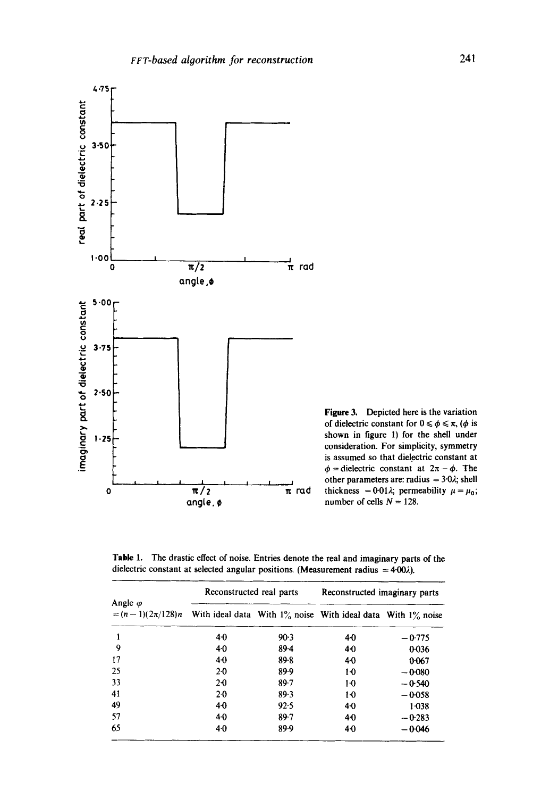

Figure 3, Depicted here is the variation of dielectric constant for  $0 \le \phi \le \pi$ , ( $\phi$  is shown in figure 1) for the shell under consideration. For simplicity, symmetry is assumed so that dielectric constant at  $\phi$  = dielectric constant at  $2\pi - \phi$ . The other parameters are: radius =  $3.0\lambda$ ; shell thickness = 0-01 $\lambda$ ; permeability  $\mu = \mu_0$ ; number of cells  $N = 128$ .

Table 1. The drastic effect of noise. Entries denote the real and imaginary parts of the dielectric constant at selected angular positions (Measurement radius  $= 4.00\lambda$ ).

| Angle $\varphi$<br>$=(n-1)(2\pi/128)n$ | Reconstructed real parts |        | Reconstructed imaginary parts                                     |          |  |
|----------------------------------------|--------------------------|--------|-------------------------------------------------------------------|----------|--|
|                                        |                          |        | With ideal data With $1\%$ noise With ideal data With $1\%$ noise |          |  |
|                                        | 40                       | $90-3$ | 40                                                                | $-0.775$ |  |
| 9                                      | 40                       | $89-4$ | 40                                                                | $0-036$  |  |
| 17                                     | $4-0$                    | 89.8   | $4-0$                                                             | 0.067    |  |
| 25                                     | $2-0$                    | 89.9   | $1-0$                                                             | $-0.080$ |  |
| 33                                     | $2 - 0$                  | 89.7   | $1-0$                                                             | $-0.540$ |  |
| 41                                     | 20                       | 89.3   | $1-0$                                                             | $-0.058$ |  |
| 49                                     | 40                       | 92.5   | 4.0                                                               | 1.038    |  |
| 57                                     | 40                       | 89.7   | 40                                                                | $-0.283$ |  |
| 65                                     | 40                       | 89.9   | 40                                                                | $-0.046$ |  |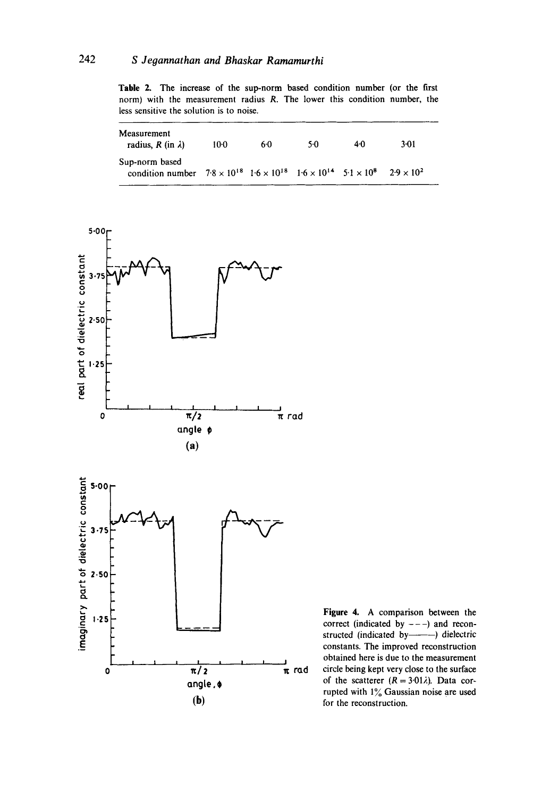# **242** *S Jegannathan and Bhaskar Ramamurthi*

**Table 2. The increase of the sup-norm based condition number (or the first norm) with the measurement radius R. The lower this condition number, the less sensitive the solution is to noise.** 

| Measurement<br>radius, $R$ (in $\lambda$ )                                                                            | 100 | 60 | 50 | 40 | 3-01                |
|-----------------------------------------------------------------------------------------------------------------------|-----|----|----|----|---------------------|
| Sup-norm based<br>condition number $7.8 \times 10^{18}$ $1.6 \times 10^{18}$ $1.6 \times 10^{14}$ $5.1 \times 10^{8}$ |     |    |    |    | $2.9 \times 10^{2}$ |



**Figure** 4. A comparison between the correct (indicated by  $---$ ) and reconstructed (indicated by---) dielectric constants. The improved reconstruction obtained here is due to the measurement circle being kept very close to the surface of the scatterer  $(R = 3.01\lambda)$ . Data corrupted with 1% Gaussian noise are used for the reconstruction.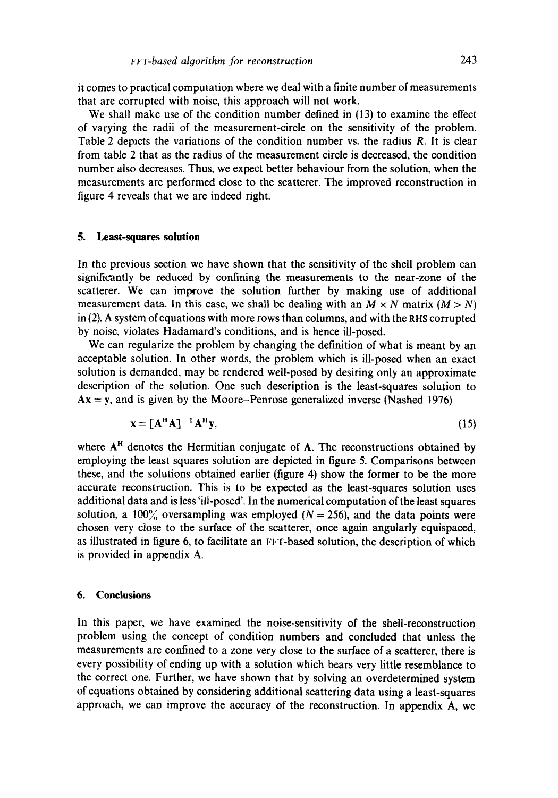it comes to practical computation where we deal with a finite number of measurements that are corrupted with noise, this approach will not work.

We shall make use of the condition number defined in (13) to examine the effect of varying the radii of the measurement-circle on the sensitivity of the problem. Table 2 depicts the variations of the condition number vs. the radius R. It is clear from table 2 that as the radius of the measurement circle is decreased, the condition number also decreases. Thus, we expect better behaviour from the solution, when the measurements are performed close to the scatterer. The improved reconstruction in figure 4 reveals that we are indeed right.

### **5. Least-squares solution**

In the previous section we have shown that the sensitivity of the shell problem can significantly be reduced by confining the measurements to the near-zone of the scatterer. We can improve the solution further by making use of additional measurement data. In this case, we shall be dealing with an  $M \times N$  matrix  $(M > N)$  $in (2)$ . A system of equations with more rows than columns, and with the RHS corrupted by noise, violates Hadamard's conditions, and is hence ill-posed.

We can regularize the problem by changing the definition of what is meant by an acceptable solution. In other words, the problem which is ill-posed when an exact solution is demanded, may be rendered well-posed by desiring only an approximate description of the solution. One such description is the least-squares solution to  $Ax = y$ , and is given by the Moore-Penrose generalized inverse (Nashed 1976)

$$
\mathbf{x} = [\mathbf{A}^{\mathbf{H}} \mathbf{A}]^{-1} \mathbf{A}^{\mathbf{H}} \mathbf{y},\tag{15}
$$

where  $A<sup>H</sup>$  denotes the Hermitian conjugate of A. The reconstructions obtained by employing the least squares solution are depicted in figure 5. Comparisons between these, and the solutions obtained earlier (figure 4) show the former to be the more accurate reconstruction. This is to be expected as the least-squares solution uses additional data and is less 'ill-posed'. In the numerical computation of the least squares solution, a 100% oversampling was employed ( $N = 256$ ), and the data points were chosen very close to the surface of the scatterer, once again angularly equispaced, as illustrated in figure 6, to facilitate an FFT-based solution, the description of which is provided in appendix A.

### **6. Conclusions**

In this paper, we have examined the noise-sensitivity of the shell-reconstruction problem using the concept of condition numbers and concluded that unless the measurements are confined to a zone very close to the surface of a scatterer, there is every possibility of ending up with a solution which bears very little resemblance to the correct one. Further, we have shown that by solving an overdetermined system of equations obtained by considering additional scattering data using a least-squares approach, we can improve the accuracy of the reconstruction. In appendix A, we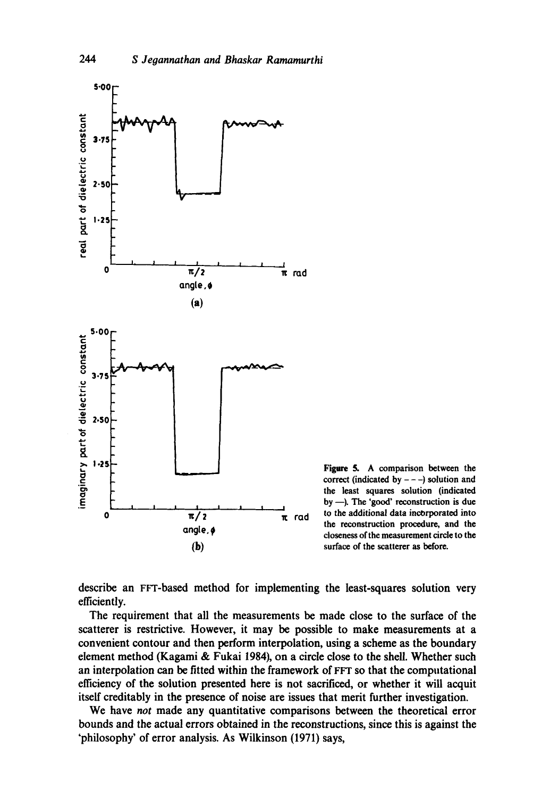



describe an Frr-based method for implementing the least-squares solution very efficiently.

The requirement that all the measurements be made close to the surface of the scatterer is restrictive. However, it may be possible to make measurements at a convenient contour and then perform interpolation, using a scheme as the boundary element method (Kagami & Fukai 1984), on a circle close to the shell. Whether such an interpolation can be fitted within the framework of FFT so that the computational efficiency of the solution presented here is not sacrificed, or whether it will acquit itself creditably in the presence of noise are issues that merit further investigation.

We have *not* made any quantitative comparisons between the theoretical error bounds and the actual errors obtained in the reconstructions, since this is against the 'philosophy' of error analysis. As Wilkinson (1971) says,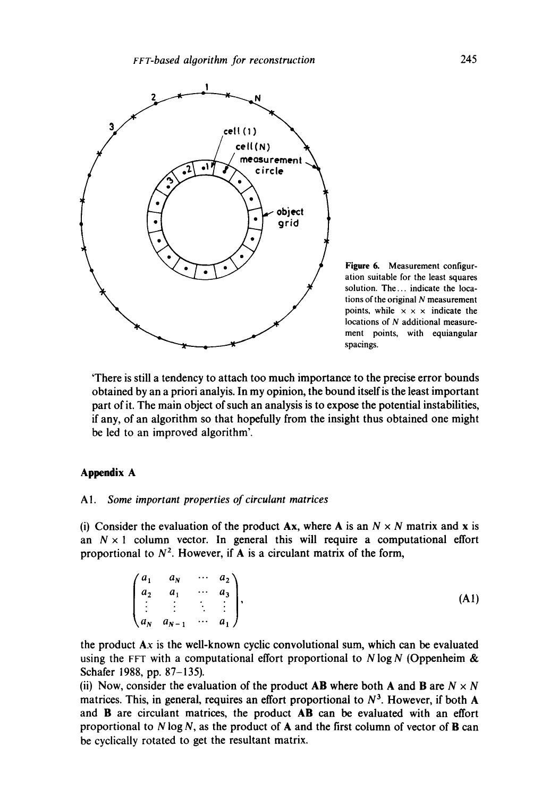

**Figure** 6. Measurement configuration suitable for the least squares solution. The... indicate the locations of the original  $N$  measurement points, while  $\times \times \times$  indicate the locations of N additional measurement points, with equiangular spacings.

'There is still a tendency to attach too much importance to the precise error bounds obtained by an a priori analyis. In my opinion, the bound itself is the least important part of it. The main object of such an analysis is to expose the potential instabilities, if any, of an algorithm so that hopefully from the insight thus obtained one might be led to an improved algorithm'.

# **Appendix A**

### *A1. Some important properties of circulant matrices*

(i) Consider the evaluation of the product Ax, where A is an  $N \times N$  matrix and x is an  $N \times 1$  column vector. In general this will require a computational effort proportional to  $N^2$ . However, if A is a circulant matrix of the form,

$$
\begin{pmatrix} a_1 & a_2 & \cdots & a_2 \\ a_2 & a_1 & \cdots & a_3 \\ \vdots & \vdots & \ddots & \vdots \\ a_N & a_{N-1} & \cdots & a_1 \end{pmatrix}, \tag{A1}
$$

the product  $Ax$  is the well-known cyclic convolutional sum, which can be evaluated using the FFT with a computational effort proportional to  $N \log N$  (Oppenheim & Schafer 1988, pp. 87-135).

(ii) Now, consider the evaluation of the product AB where both A and B are  $N \times N$ matrices. This, in general, requires an effort proportional to  $N<sup>3</sup>$ . However, if both A and B are circulant matrices, the product AB can be evaluated with an effort proportional to  $N \log N$ , as the product of **A** and the first column of vector of **B** can be cyclically rotated to get the resultant matrix.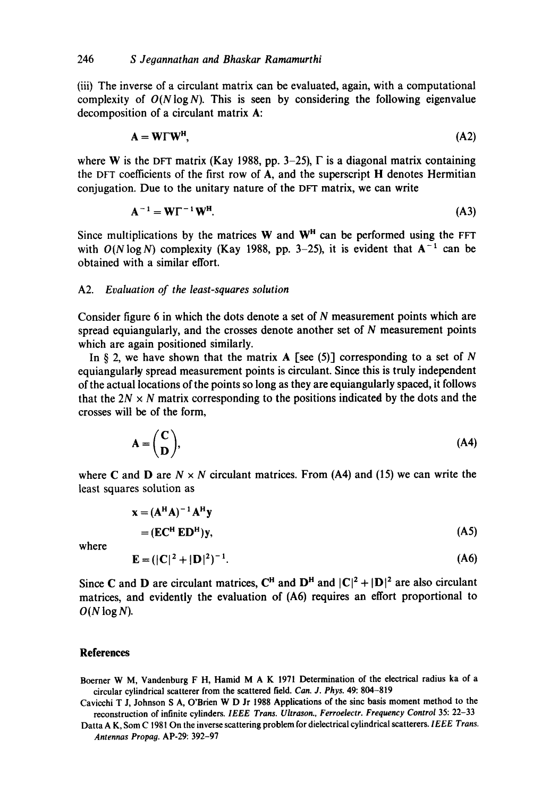(iii) The inverse of a circulant matrix can be evaluated, again, with a computational complexity of  $O(N \log N)$ . This is seen by considering the following eigenvalue decomposition of a circulant matrix A:

$$
A = W\Gamma W^H, \tag{A2}
$$

where W is the DFT matrix (Kay 1988, pp. 3–25),  $\Gamma$  is a diagonal matrix containing the DFT coefficients of the first row of A, and the superscript H denotes Hermitian conjugation. Due to the unitary nature of the DFT matrix, we can write

$$
\mathbf{A}^{-1} = \mathbf{W}\Gamma^{-1}\mathbf{W}^{\mathbf{H}}.\tag{A3}
$$

Since multiplications by the matrices W and  $W<sup>H</sup>$  can be performed using the FFT with  $O(N \log N)$  complexity (Kay 1988, pp. 3–25), it is evident that  $A^{-1}$  can be obtained with a similar effort.

# A2. *Evaluation of the least-squares solution*

Consider figure 6 in which the dots denote a set of N measurement points which are spread equiangularly, and the crosses denote another set of  $N$  measurement points which are again positioned similarly.

In § 2, we have shown that the matrix A [see (5)] corresponding to a set of N equiangularly spread measurement points is circulant. Since this is truly independent of the actual locations of the points so long as they are equiangularly spaced, it follows that the  $2N \times N$  matrix corresponding to the positions indicated by the dots and the crosses will be of the form,

$$
A = \begin{pmatrix} C \\ D \end{pmatrix}, \tag{A4}
$$

where C and D are  $N \times N$  circulant matrices. From (A4) and (15) we can write the least squares solution as

$$
\mathbf{x} = (\mathbf{A}^{\mathsf{H}} \mathbf{A})^{-1} \mathbf{A}^{\mathsf{H}} \mathbf{y}
$$
  
=  $(\mathbf{E}\mathbf{C}^{\mathsf{H}} \mathbf{E}\mathbf{D}^{\mathsf{H}})\mathbf{y},$  (A5)

where

$$
\mathbf{E} = (|\mathbf{C}|^2 + |\mathbf{D}|^2)^{-1}.
$$
 (A6)

Since C and D are circulant matrices, C<sup>H</sup> and D<sup>H</sup> and  $|C|^2 + |D|^2$  are also circulant matrices, and evidently the evaluation of (A6) requires an effort proportional to  $O(N \log N)$ .

#### **References**

- Boerner W M, Vandenburg F H, Hamid M A K 1971 Determination of the electrical radius ka of a circular cylindrical scatterer from the scattered field. *Can. J. Phys.* 49:804-819
- Cavicchi T J, Johnson S A, O'Brien W D Jr 1988 Applications of the sinc basis moment method to the reconstruction of infinite cylinders. *IEEE Trans. Ultrason., Ferroelectr. Frequency Control* 35:22-33
- Datta A K, Som C 1981 On the inverse scattering problem for dielectrical cylindrical scatterers. *IEEE Trans. Antennas Propag.* AP-29:392-97